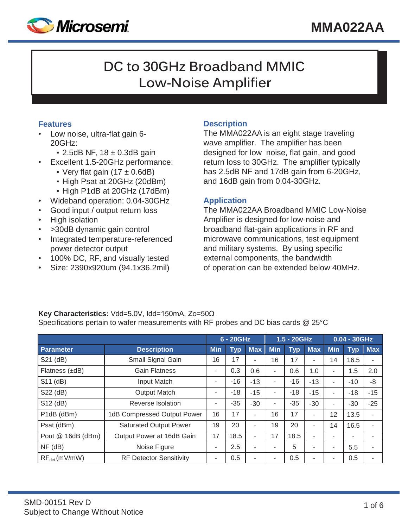

# **DC to 30GHz Broadband MMIC Low-Noise Amplifier**

## **Features**

- Low noise, ultra-flat gain 6- 20GHz:
	- $\cdot$  2.5dB NF, 18  $\pm$  0.3dB gain
- Excellent 1.5-20GHz performance:
	- Very flat gain  $(17 \pm 0.6$ dB)
	- High Psat at 20GHz (20dBm)
	- High P1dB at 20GHz (17dBm)
- Wideband operation: 0.04-30GHz
- Good input / output return loss
- High isolation
- > 30dB dynamic gain control
- Integrated temperature-referenced power detector output
- 100% DC, RF, and visually tested
- Size: 2390x920um (94.1x36.2mil)

# **Description**

The MMA022AA is an eight stage traveling wave amplifier. The amplifier has been designed for low noise, flat gain, and good return loss to 30GHz. The amplifier typically has 2.5dB NF and 17dB gain from 6-20GHz, and 16dB gain from 0.04-30GHz.

## **Application**

The MMA022AA Broadband MMIC Low-Noise Amplifier is designed for low-noise and broadband flat-gain applications in RF and microwave communications, test equipment and military systems. By using specific external components, the bandwidth of operation can be extended below 40MHz.

# **Key Characteristics:** Vdd=5.0V, Idd=150mA, Zo=50Ω

Specifications pertain to wafer measurements with RF probes and DC bias cards @ 25°C

|                   |                                | 6 - 20GHz  |            |            | 1.5 - 20GHz |            |            | $0.04 - 30$ GHz |            |            |
|-------------------|--------------------------------|------------|------------|------------|-------------|------------|------------|-----------------|------------|------------|
| Parameter         | <b>Description</b>             | <b>Min</b> | <b>Typ</b> | <b>Max</b> | <b>Min</b>  | <b>Typ</b> | <b>Max</b> | <b>Min</b>      | <b>Typ</b> | <b>Max</b> |
| S21 (dB)          | Small Signal Gain              | 16         | 17         |            | 16          | 17         | ۰          | 14              | 16.5       | ۰          |
| Flatness (±dB)    | <b>Gain Flatness</b>           | ٠          | 0.3        | 0.6        | ۰           | 0.6        | 1.0        | ٠               | 1.5        | 2.0        |
| S11 (dB)          | Input Match                    | ۰          | $-16$      | $-13$      | ۰           | $-16$      | $-13$      | ۰               | $-10$      | -8         |
| S22 (dB)          | <b>Output Match</b>            | ٠          | $-18$      | $-15$      | ۰           | $-18$      | $-15$      | ۰               | $-18$      | $-15$      |
| S12 (dB)          | Reverse Isolation              | ٠          | $-35$      | $-30$      | ۰           | $-35$      | $-30$      | ۰               | $-30$      | $-25$      |
| P1dB (dBm)        | 1dB Compressed Output Power    | 16         | 17         | ۰          | 16          | 17         | ۰          | 12              | 13.5       | ٠          |
| Psat (dBm)        | <b>Saturated Output Power</b>  | 19         | 20         |            | 19          | 20         |            | 14              | 16.5       |            |
| Pout @ 16dB (dBm) | Output Power at 16dB Gain      | 17         | 18.5       | ۰          | 17          | 18.5       | ۰          | ۰               | ۰          |            |
| $NF$ (dB)         | Noise Figure                   | ٠          | 2.5        |            | ۰           | 5          | ۰          | ۰               | 5.5        |            |
| $RF_{det}(mV/mW)$ | <b>RF Detector Sensitivity</b> | ٠          | 0.5        |            |             | 0.5        | ۰          | ٠               | 0.5        | ۰          |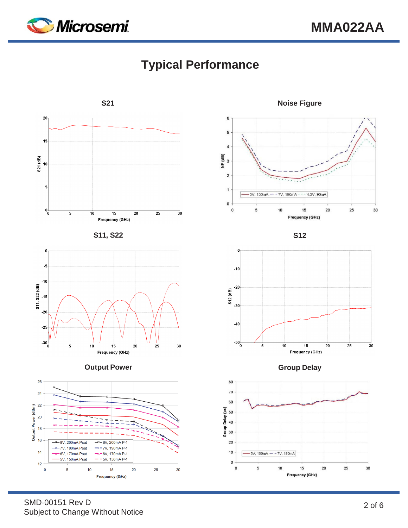

# **Typical Performance**



 $\sf 6$ 5  $\overline{4}$ NF (dB)<br>3  $\overline{c}$ 1  $-5V$ , 150mA  $- -7V$ , 190mA - - - 4.3V, 90mA  $\mathbf 0$  $\mathsf{o}$  $10$  $20\,$ 25 30 5  $15$ Frequency (GHz)





SMD-00151 Rev D Subject to Change Without Notice

**Frequency (GHz)**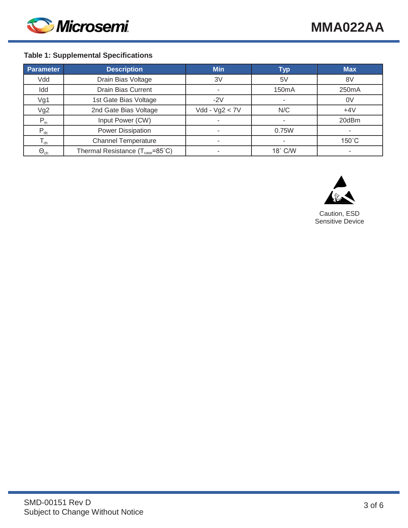

## **Table 1: Supplemental Specifications**

| <b>Parameter</b>  | <b>Description</b>                           | <b>Min</b>       | <b>Typ</b>         | <b>Max</b>         |
|-------------------|----------------------------------------------|------------------|--------------------|--------------------|
| Vdd               | Drain Bias Voltage                           | 3V               | 5V                 | 8V                 |
| Idd               | <b>Drain Bias Current</b>                    |                  | 150 <sub>m</sub> A | 250 <sub>m</sub> A |
| Vg1               | 1st Gate Bias Voltage                        | $-2V$            |                    | 0V                 |
| Vg2               | 2nd Gate Bias Voltage                        | $Vdd - Vg2 < 7V$ | N/C                | $+4V$              |
| $P_{in}$          | Input Power (CW)                             |                  |                    | 20dBm              |
| $P_{dc}$          | <b>Power Dissipation</b>                     |                  | 0.75W              |                    |
| $T_{ch}$          | <b>Channel Temperature</b>                   |                  |                    | $150^{\circ}$ C    |
| $\Theta_{\rm ch}$ | Thermal Resistance (T <sub>case</sub> =85°C) |                  | 18° C/W            |                    |



Caution, ESD Sensitive Device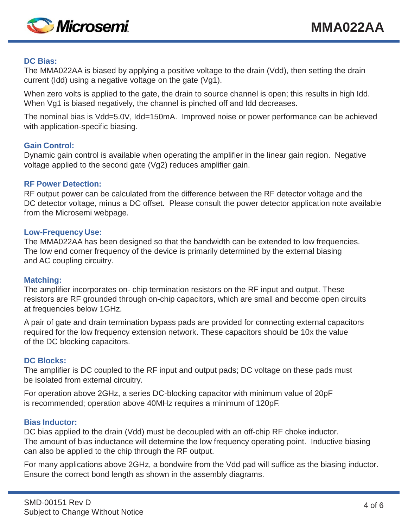

#### **DC Bias:**

The MMA022AA is biased by applying a positive voltage to the drain (Vdd), then setting the drain current (Idd) using a negative voltage on the gate (Vg1).

When zero volts is applied to the gate, the drain to source channel is open; this results in high Idd. When Vg1 is biased negatively, the channel is pinched off and Idd decreases.

The nominal bias is Vdd=5.0V, Idd=150mA. Improved noise or power performance can be achieved with application-specific biasing.

#### **Gain Control:**

Dynamic gain control is available when operating the amplifier in the linear gain region. Negative voltage applied to the second gate (Vg2) reduces amplifier gain.

#### **RF Power Detection:**

RF output power can be calculated from the difference between the RF detector voltage and the DC detector voltage, minus a DC offset. Please consult the power detector application note available from the Microsemi webpage.

#### **Low-Frequency Use:**

The MMA022AA has been designed so that the bandwidth can be extended to low frequencies. The low end corner frequency of the device is primarily determined by the external biasing and AC coupling circuitry.

## **Matching:**

The amplifier incorporates on- chip termination resistors on the RF input and output. These resistors are RF grounded through on-chip capacitors, which are small and become open circuits at frequencies below 1GHz.

A pair of gate and drain termination bypass pads are provided for connecting external capacitors required for the low frequency extension network. These capacitors should be 10x the value of the DC blocking capacitors.

## **DC Blocks:**

The amplifier is DC coupled to the RF input and output pads; DC voltage on these pads must be isolated from external circuitry.

For operation above 2GHz, a series DC-blocking capacitor with minimum value of 20pF is recommended; operation above 40MHz requires a minimum of 120pF.

#### **Bias Inductor:**

DC bias applied to the drain (Vdd) must be decoupled with an off-chip RF choke inductor. The amount of bias inductance will determine the low frequency operating point. Inductive biasing can also be applied to the chip through the RF output.

For many applications above 2GHz, a bondwire from the Vdd pad will suffice as the biasing inductor. Ensure the correct bond length as shown in the assembly diagrams.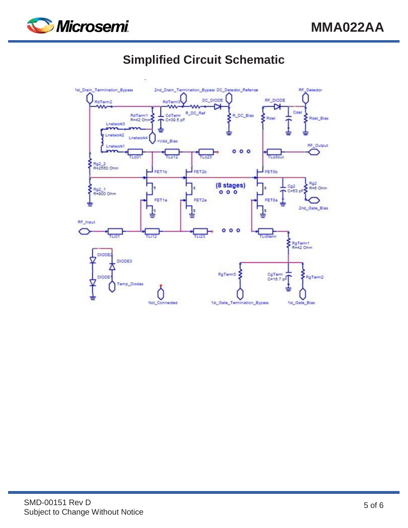

# **Simplified Circuit Schematic**

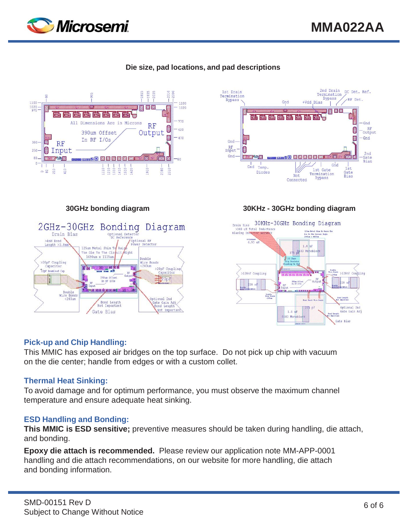









#### **30GHz bonding diagram 30KHz - 30GHz bonding diagram**



## **Pick-up and Chip Handling:**

This MMIC has exposed air bridges on the top surface. Do not pick up chip with vacuum on the die center; handle from edges or with a custom collet.

## **Thermal Heat Sinking:**

To avoid damage and for optimum performance, you must observe the maximum channel temperature and ensure adequate heat sinking.

#### **ESD Handling and Bonding:**

**This MMIC is ESD sensitive;** preventive measures should be taken during handling, die attach, and bonding.

**Epoxy die attach is recommended.** Please review our application note MM-APP-0001 handling and die attach recommendations, on our website for more handling, die attach and bonding information.